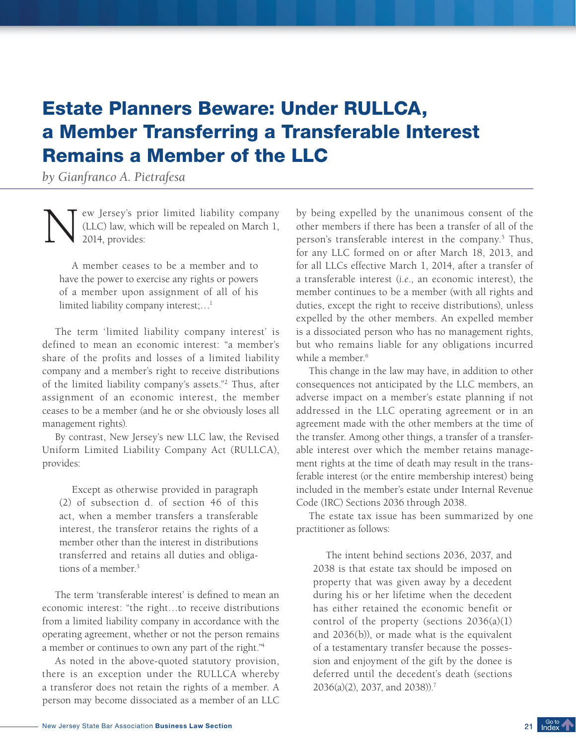## Estate Planners Beware: Under RULLCA, a Member Transferring a Transferable Interest Remains a Member of the LLC

*by Gianfranco A. Pietrafesa*

N ew Jersey's prior limited liability company (LLC) law, which will be repealed on March 1, 2014, provides:

A member ceases to be a member and to have the power to exercise any rights or powers of a member upon assignment of all of his limited liability company interest;…<sup>1</sup>

The term 'limited liability company interest' is defined to mean an economic interest: "a member's share of the profits and losses of a limited liability company and a member's right to receive distributions of the limited liability company's assets."<sup>2</sup> Thus, after assignment of an economic interest, the member ceases to be a member (and he or she obviously loses all management rights).

By contrast, New Jersey's new LLC law, the Revised Uniform Limited Liability Company Act (RULLCA), provides:

Except as otherwise provided in paragraph (2) of subsection d. of section 46 of this act, when a member transfers a transferable interest, the transferor retains the rights of a member other than the interest in distributions transferred and retains all duties and obligations of a member.<sup>3</sup>

The term 'transferable interest' is defined to mean an economic interest: "the right…to receive distributions from a limited liability company in accordance with the operating agreement, whether or not the person remains a member or continues to own any part of the right."<sup>4</sup>

As noted in the above-quoted statutory provision, there is an exception under the RULLCA whereby a transferor does not retain the rights of a member. A person may become dissociated as a member of an LLC

by being expelled by the unanimous consent of the other members if there has been a transfer of all of the person's transferable interest in the company.<sup>5</sup> Thus, for any LLC formed on or after March 18, 2013, and for all LLCs effective March 1, 2014, after a transfer of a transferable interest (*i.e*., an economic interest), the member continues to be a member (with all rights and duties, except the right to receive distributions), unless expelled by the other members. An expelled member is a dissociated person who has no management rights, but who remains liable for any obligations incurred while a member.<sup>6</sup>

This change in the law may have, in addition to other consequences not anticipated by the LLC members, an adverse impact on a member's estate planning if not addressed in the LLC operating agreement or in an agreement made with the other members at the time of the transfer. Among other things, a transfer of a transferable interest over which the member retains management rights at the time of death may result in the transferable interest (or the entire membership interest) being included in the member's estate under Internal Revenue Code (IRC) Sections 2036 through 2038.

The estate tax issue has been summarized by one practitioner as follows:

The intent behind sections 2036, 2037, and 2038 is that estate tax should be imposed on property that was given away by a decedent during his or her lifetime when the decedent has either retained the economic benefit or control of the property (sections 2036(a)(1) and 2036(b)), or made what is the equivalent of a testamentary transfer because the possession and enjoyment of the gift by the donee is deferred until the decedent's death (sections 2036(a)(2), 2037, and 2038)).<sup>7</sup>